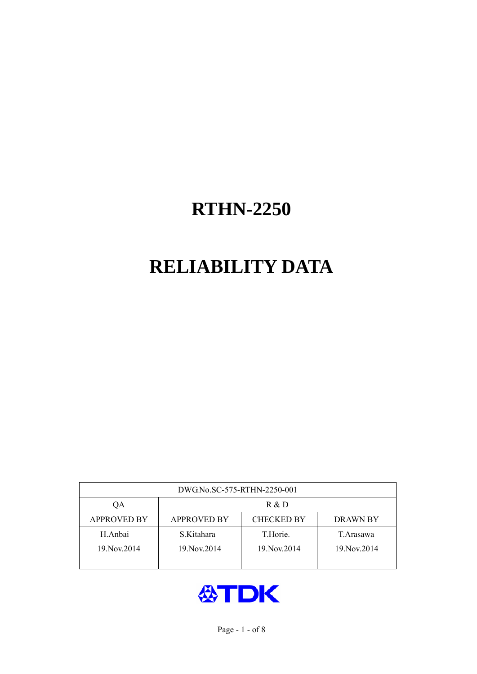# **RELIABILITY DATA**

| DWG.No.SC-575-RTHN-2250-001 |                                                     |               |               |  |  |  |  |
|-----------------------------|-----------------------------------------------------|---------------|---------------|--|--|--|--|
| OА                          | R & D                                               |               |               |  |  |  |  |
| <b>APPROVED BY</b>          | <b>CHECKED BY</b><br><b>APPROVED BY</b><br>DRAWN BY |               |               |  |  |  |  |
| H.Anbai                     | S.Kitahara                                          | T.Horie.      | T. Arasawa    |  |  |  |  |
| 19. Nov. 2014               | 19. Nov. 2014                                       | 19. Nov. 2014 | 19. Nov. 2014 |  |  |  |  |
|                             |                                                     |               |               |  |  |  |  |

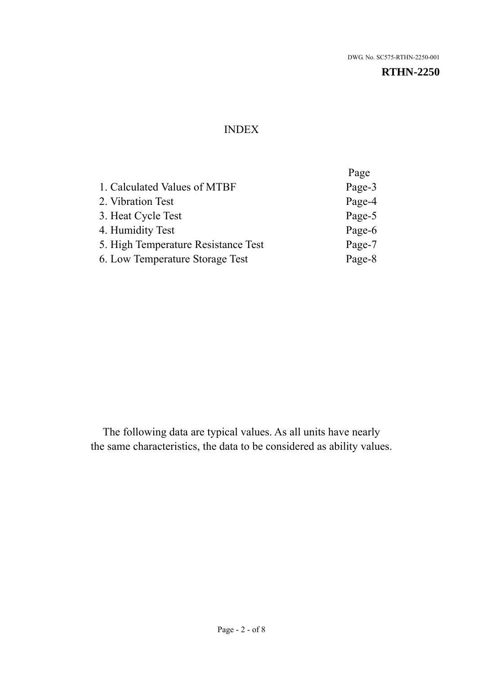#### INDEX

|                                     | Page   |
|-------------------------------------|--------|
| 1. Calculated Values of MTBF        | Page-3 |
| 2. Vibration Test                   | Page-4 |
| 3. Heat Cycle Test                  | Page-5 |
| 4. Humidity Test                    | Page-6 |
| 5. High Temperature Resistance Test | Page-7 |
| 6. Low Temperature Storage Test     | Page-8 |
|                                     |        |

The following data are typical values. As all units have nearly the same characteristics, the data to be considered as ability values.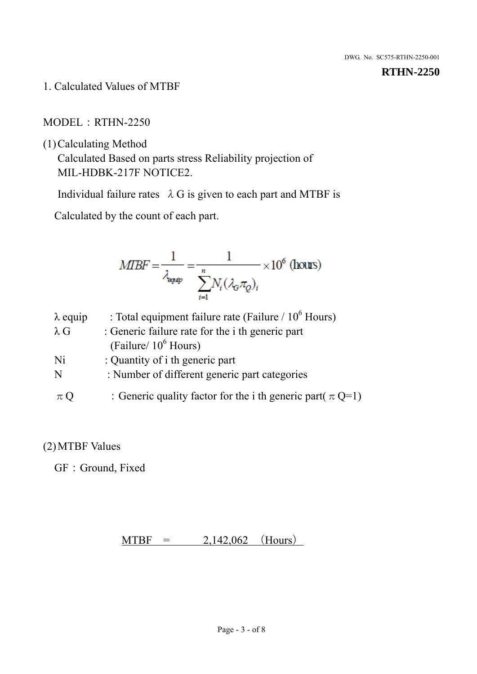1. Calculated Values of MTBF

MODEL:RTHN-2250

(1)Calculating Method

Calculated Based on parts stress Reliability projection of MIL-HDBK-217F NOTICE2.

Individual failure rates  $\lambda$  G is given to each part and MTBF is

Calculated by the count of each part.

$$
MIBF = \frac{1}{\lambda_{\text{expap}}} = \frac{1}{\sum_{i=1}^{n} N_i (\lambda_{\text{G}} \pi_Q)_i} \times 10^6 \text{ (hours)}
$$

| $\lambda$ equip | : Total equipment failure rate (Failure / $10^6$ Hours)         |
|-----------------|-----------------------------------------------------------------|
| $\lambda$ G     | : Generic failure rate for the <i>i</i> th generic part         |
|                 | (Failure/ $10^6$ Hours)                                         |
| Ni              | : Quantity of i th generic part                                 |
| N               | : Number of different generic part categories                   |
| $\pi Q$         | : Generic quality factor for the i th generic part( $\pi Q=1$ ) |

## (2)MTBF Values

GF: Ground, Fixed

 $MTBF = 2,142,062$  (Hours)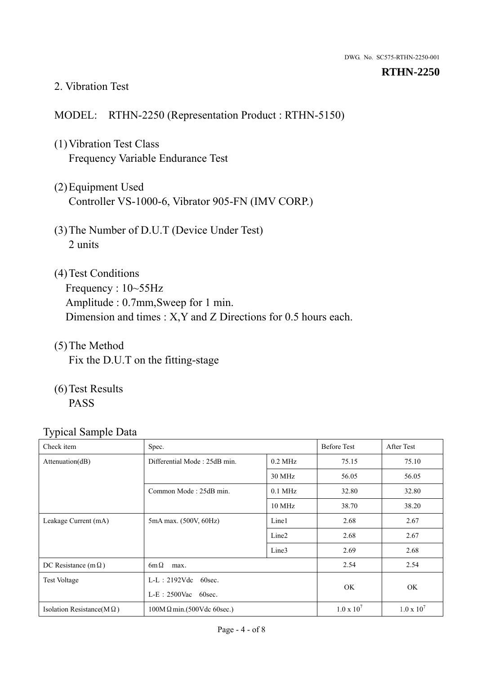#### 2. Vibration Test

#### MODEL: RTHN-2250 (Representation Product : RTHN-5150)

- (1)Vibration Test Class Frequency Variable Endurance Test
- (2)Equipment Used Controller VS-1000-6, Vibrator 905-FN (IMV CORP.)
- (3)The Number of D.U.T (Device Under Test) 2 units
- (4)Test Conditions Frequency : 10~55Hz Amplitude : 0.7mm,Sweep for 1 min. Dimension and times : X,Y and Z Directions for 0.5 hours each.
- (5)The Method Fix the D.U.T on the fitting-stage
- (6)Test Results PASS

| Check item                        | Spec.                            |                   | <b>Before Test</b> | After Test        |
|-----------------------------------|----------------------------------|-------------------|--------------------|-------------------|
| Attenuation(dB)                   | Differential Mode: 25dB min.     | $0.2$ MHz         | 75.15              | 75.10             |
|                                   |                                  | 30 MHz            | 56.05              | 56.05             |
|                                   | Common Mode: 25dB min.           | $0.1$ MHz         | 32.80              | 32.80             |
|                                   |                                  | 10 MHz            | 38.70              | 38.20             |
| Leakage Current (mA)              | 5mA max. (500V, 60Hz)            | Line1             | 2.68               | 2.67              |
|                                   |                                  | Line <sub>2</sub> | 2.68               | 2.67              |
|                                   |                                  | Line3             | 2.69               | 2.68              |
| DC Resistance (m $\Omega$ )       | $6m\Omega$<br>max.               |                   |                    | 2.54              |
| <b>Test Voltage</b>               | $L-L: 2192Vdc$ 60sec.            |                   |                    |                   |
|                                   | $L-E$ : 2500Vac 60sec.           |                   | OK.                | OK                |
| Isolation Resistance( $M\Omega$ ) | $100M\Omega$ min.(500Vdc 60sec.) |                   | $1.0 \times 10^7$  | $1.0 \times 10^7$ |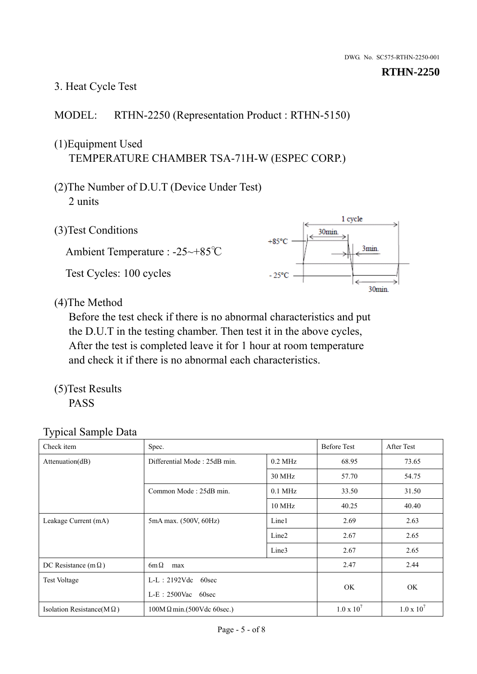# 3. Heat Cycle Test

## MODEL: RTHN-2250 (Representation Product : RTHN-5150)

# (1)Equipment Used TEMPERATURE CHAMBER TSA-71H-W (ESPEC CORP.)

- (2)The Number of D.U.T (Device Under Test) 2 units
- (3)Test Conditions

Ambient Temperature : -25~+85℃ Test Cycles: 100 cycles



(4)The Method

Before the test check if there is no abnormal characteristics and put the D.U.T in the testing chamber. Then test it in the above cycles, After the test is completed leave it for 1 hour at room temperature and check it if there is no abnormal each characteristics.

(5)Test Results PASS

| Check item                        | Spec.                                            |                   | <b>Before Test</b>  | After Test        |
|-----------------------------------|--------------------------------------------------|-------------------|---------------------|-------------------|
| Attenuation(dB)                   | Differential Mode: 25dB min.                     | $0.2$ MHz         | 68.95               | 73.65             |
|                                   |                                                  | 30 MHz            | 57.70               | 54.75             |
|                                   | Common Mode: 25dB min.                           | $0.1$ MHz         | 33.50               | 31.50             |
|                                   |                                                  | 10 MHz            | 40.25               | 40.40             |
| Leakage Current (mA)              | 5mA max. (500V, 60Hz)                            | Line1             | 2.69                | 2.63              |
|                                   |                                                  | Line <sub>2</sub> | 2.67                | 2.65              |
|                                   |                                                  | Line3             | 2.67                | 2.65              |
| DC Resistance (m $\Omega$ )       | $6m\Omega$<br>max                                |                   |                     | 2.44              |
| <b>Test Voltage</b>               | $L-L: 2192Vdc$<br>60sec<br>$L-E$ : 2500Vac 60sec |                   |                     |                   |
|                                   |                                                  |                   | OK.                 | OK                |
| Isolation Resistance( $M\Omega$ ) | $100M\Omega$ min.(500Vdc 60sec.)                 |                   | $1.0 \times 10^{7}$ | $1.0 \times 10^7$ |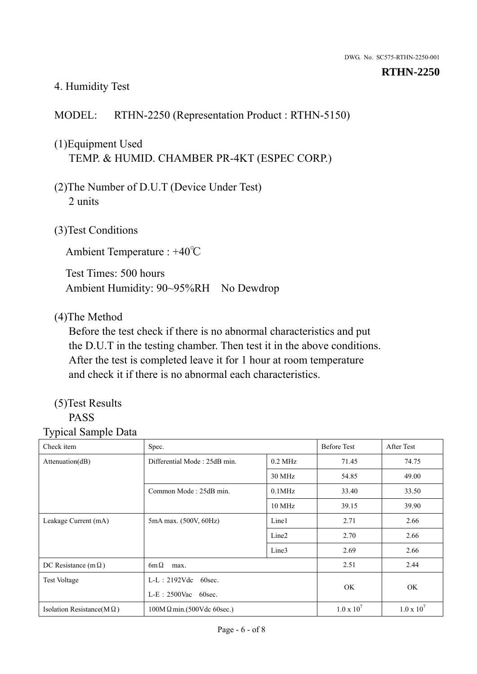#### 4. Humidity Test

#### MODEL: RTHN-2250 (Representation Product : RTHN-5150)

# (1)Equipment Used TEMP. & HUMID. CHAMBER PR-4KT (ESPEC CORP.)

- (2)The Number of D.U.T (Device Under Test) 2 units
- (3)Test Conditions

Ambient Temperature : +40℃

Test Times: 500 hours Ambient Humidity: 90~95%RH No Dewdrop

#### (4)The Method

Before the test check if there is no abnormal characteristics and put the D.U.T in the testing chamber. Then test it in the above conditions. After the test is completed leave it for 1 hour at room temperature and check it if there is no abnormal each characteristics.

#### (5)Test Results PASS

| . н.                              |                                  |                   |                     |                     |
|-----------------------------------|----------------------------------|-------------------|---------------------|---------------------|
| Check item                        | Spec.                            |                   | <b>Before Test</b>  | After Test          |
| Attenuation(dB)                   | Differential Mode: 25dB min.     | $0.2$ MHz         | 71.45               | 74.75               |
|                                   |                                  | 30 MHz            | 54.85               | 49.00               |
|                                   | Common Mode: 25dB min.           | $0.1$ MHz         | 33.40               | 33.50               |
|                                   |                                  | $10 \text{ MHz}$  | 39.15               | 39.90               |
| Leakage Current (mA)              | 5mA max. (500V, 60Hz)            | Line1             | 2.71                | 2.66                |
|                                   |                                  | Line <sub>2</sub> | 2.70                | 2.66                |
|                                   |                                  | Line3             | 2.69                | 2.66                |
| DC Resistance (m $\Omega$ )       | $6m\Omega$<br>max.               |                   | 2.51                | 2.44                |
| <b>Test Voltage</b>               | $L-L: 2192Vdc$<br>60sec.         |                   |                     |                     |
|                                   | $L-E$ : 2500Vac 60sec.           |                   | <b>OK</b>           | OK                  |
| Isolation Resistance(M $\Omega$ ) | $100M\Omega$ min.(500Vdc 60sec.) |                   | $1.0 \times 10^{7}$ | $1.0 \times 10^{7}$ |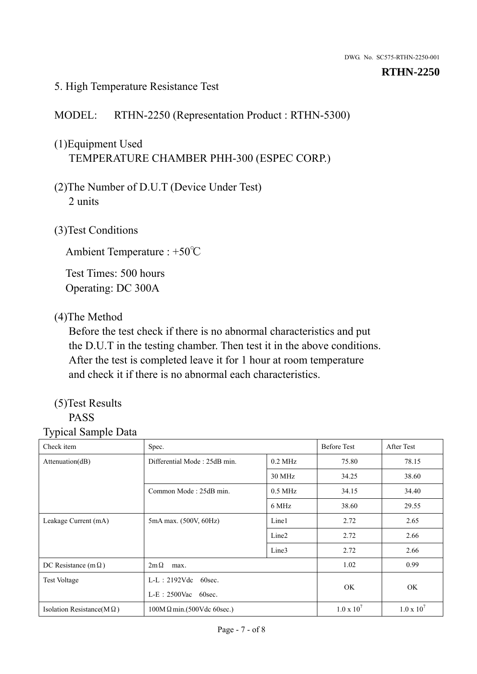#### 5. High Temperature Resistance Test

## MODEL: RTHN-2250 (Representation Product : RTHN-5300)

# (1)Equipment Used TEMPERATURE CHAMBER PHH-300 (ESPEC CORP.)

- (2)The Number of D.U.T (Device Under Test) 2 units
- (3)Test Conditions

Ambient Temperature : +50℃

Test Times: 500 hours Operating: DC 300A

### (4)The Method

Before the test check if there is no abnormal characteristics and put the D.U.T in the testing chamber. Then test it in the above conditions. After the test is completed leave it for 1 hour at room temperature and check it if there is no abnormal each characteristics.

#### (5)Test Results PASS

| Check item                        | Spec.                            |                        | <b>Before Test</b> | After Test        |
|-----------------------------------|----------------------------------|------------------------|--------------------|-------------------|
| Attenuation(dB)                   | Differential Mode: 25dB min.     | $0.2$ MHz              | 75.80              | 78.15             |
|                                   |                                  | 30 MHz                 | 34.25              | 38.60             |
|                                   | Common Mode: 25dB min.           | $0.5$ MHz              | 34.15              | 34.40             |
|                                   |                                  | 6 MHz                  | 38.60              | 29.55             |
| Leakage Current (mA)              | 5mA max. (500V, 60Hz)            | Line1                  | 2.72               | 2.65              |
|                                   |                                  | Line <sub>2</sub>      | 2.72               | 2.66              |
|                                   |                                  | Line3                  | 2.72               | 2.66              |
| DC Resistance (m $\Omega$ )       | $2m\Omega$<br>max.               |                        |                    | 0.99              |
| <b>Test Voltage</b>               | $L-L$ : 2192Vdc 60sec.           | $L-E$ : 2500Vac 60sec. |                    |                   |
|                                   |                                  |                        |                    | <b>OK</b>         |
| Isolation Resistance(M $\Omega$ ) | $100M\Omega$ min.(500Vdc 60sec.) |                        | $1.0 \times 10^7$  | $1.0 \times 10^7$ |